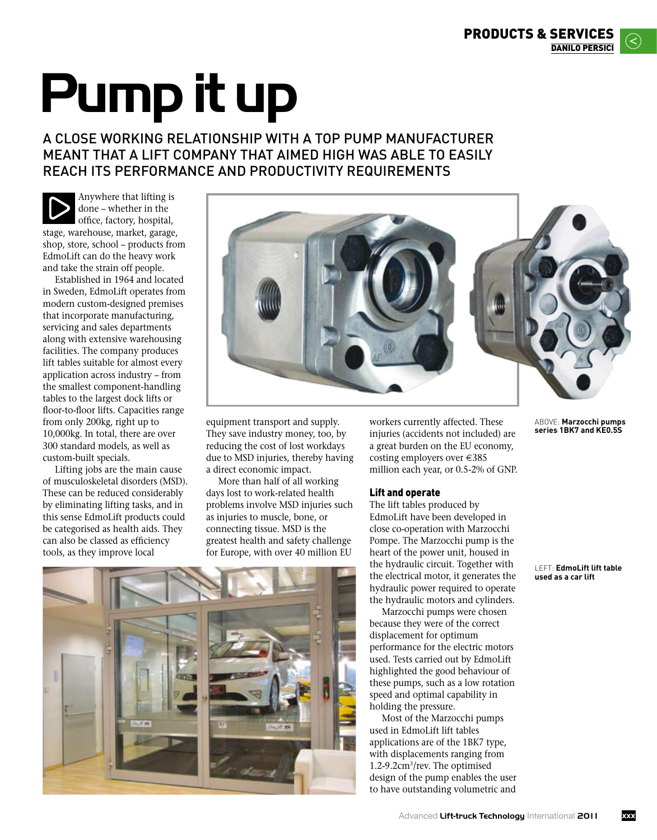# **Pump it up**

## A close working relationship with a top pump manufacturer meant that a lift company that aimed high was able to easily reach its performance and productivity requirements

Anywhere that lifting is done – whether in the office, factory, hospital, stage, warehouse, market, garage, shop, store, school – products from EdmoLift can do the heavy work and take the strain off people.

Established in 1964 and located in Sweden, EdmoLift operates from modern custom-designed premises that incorporate manufacturing, servicing and sales departments along with extensive warehousing facilities. The company produces lift tables suitable for almost every application across industry – from the smallest component-handling tables to the largest dock lifts or floor-to-floor lifts. Capacities range from only 200kg, right up to 10,000kg. In total, there are over 300 standard models, as well as custom-built specials.

Lifting jobs are the main cause of musculoskeletal disorders (MSD). These can be reduced considerably by eliminating lifting tasks, and in this sense EdmoLift products could be categorised as health aids. They can also be classed as efficiency tools, as they improve local



equipment transport and supply. They save industry money, too, by reducing the cost of lost workdays due to MSD injuries, thereby having a direct economic impact.

More than half of all working days lost to work-related health problems involve MSD injuries such as injuries to muscle, bone, or connecting tissue. MSD is the greatest health and safety challenge for Europe, with over 40 million EU

workers currently affected. These injuries (accidents not included) are a great burden on the EU economy, costing employers over €385 million each year, or 0.5-2% of GNP.

## Lift and operate

The lift tables produced by EdmoLift have been developed in close co-operation with Marzocchi Pompe. The Marzocchi pump is the heart of the power unit, housed in the hydraulic circuit. Together with the electrical motor, it generates the hydraulic power required to operate the hydraulic motors and cylinders.

Marzocchi pumps were chosen because they were of the correct displacement for optimum performance for the electric motors used. Tests carried out by EdmoLift highlighted the good behaviour of these pumps, such as a low rotation speed and optimal capability in holding the pressure.

Most of the Marzocchi pumps used in EdmoLift lift tables applications are of the 1BK7 type, with displacements ranging from 1.2-9.2cm3/rev. The optimised design of the pump enables the user to have outstanding volumetric and

ABOVE: **Marzocchi pumps series 1BK7 and KE0.5S**

LEFT: **EdmoLift lift table used as a car lift**

**xxx**